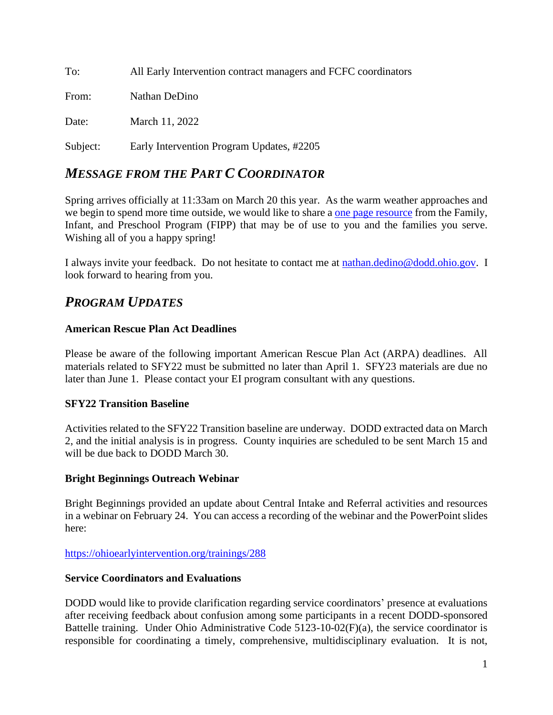To: All Early Intervention contract managers and FCFC coordinators From: Nathan DeDino Date: March 11, 2022 Subject: Early Intervention Program Updates, #2205

# *MESSAGE FROM THE PART C COORDINATOR*

Spring arrives officially at 11:33am on March 20 this year. As the warm weather approaches and we begin to spend more time outside, we would like to share a [one page resource](https://www.facebook.com/Family-Infant-and-Preschool-Program-169773598026/photos/a.10156175265918027/10155654282673027) from the Family, Infant, and Preschool Program (FIPP) that may be of use to you and the families you serve. Wishing all of you a happy spring!

I always invite your feedback. Do not hesitate to contact me at [nathan.dedino@dodd.ohio.gov.](mailto:nathan.dedino@dodd.ohio.gov) I look forward to hearing from you.

# *PROGRAM UPDATES*

## **American Rescue Plan Act Deadlines**

Please be aware of the following important American Rescue Plan Act (ARPA) deadlines. All materials related to SFY22 must be submitted no later than April 1. SFY23 materials are due no later than June 1. Please contact your EI program consultant with any questions.

## **SFY22 Transition Baseline**

Activities related to the SFY22 Transition baseline are underway. DODD extracted data on March 2, and the initial analysis is in progress. County inquiries are scheduled to be sent March 15 and will be due back to DODD March 30.

#### **Bright Beginnings Outreach Webinar**

Bright Beginnings provided an update about Central Intake and Referral activities and resources in a webinar on February 24. You can access a recording of the webinar and the PowerPoint slides here:

<https://ohioearlyintervention.org/trainings/288>

## **Service Coordinators and Evaluations**

DODD would like to provide clarification regarding service coordinators' presence at evaluations after receiving feedback about confusion among some participants in a recent DODD-sponsored Battelle training. Under Ohio Administrative Code 5123-10-02(F)(a), the service coordinator is responsible for coordinating a timely, comprehensive, multidisciplinary evaluation. It is not,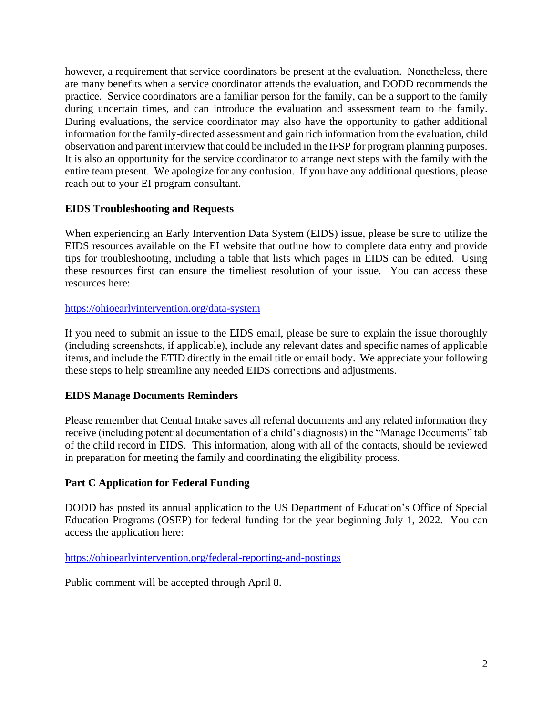however, a requirement that service coordinators be present at the evaluation. Nonetheless, there are many benefits when a service coordinator attends the evaluation, and DODD recommends the practice. Service coordinators are a familiar person for the family, can be a support to the family during uncertain times, and can introduce the evaluation and assessment team to the family. During evaluations, the service coordinator may also have the opportunity to gather additional information for the family-directed assessment and gain rich information from the evaluation, child observation and parent interview that could be included in the IFSP for program planning purposes. It is also an opportunity for the service coordinator to arrange next steps with the family with the entire team present. We apologize for any confusion. If you have any additional questions, please reach out to your EI program consultant.

## **EIDS Troubleshooting and Requests**

When experiencing an Early Intervention Data System (EIDS) issue, please be sure to utilize the EIDS resources available on the EI website that outline how to complete data entry and provide tips for troubleshooting, including a table that lists which pages in EIDS can be edited. Using these resources first can ensure the timeliest resolution of your issue. You can access these resources here:

#### <https://ohioearlyintervention.org/data-system>

If you need to submit an issue to the EIDS email, please be sure to explain the issue thoroughly (including screenshots, if applicable), include any relevant dates and specific names of applicable items, and include the ETID directly in the email title or email body. We appreciate your following these steps to help streamline any needed EIDS corrections and adjustments.

#### **EIDS Manage Documents Reminders**

Please remember that Central Intake saves all referral documents and any related information they receive (including potential documentation of a child's diagnosis) in the "Manage Documents" tab of the child record in EIDS. This information, along with all of the contacts, should be reviewed in preparation for meeting the family and coordinating the eligibility process.

## **Part C Application for Federal Funding**

DODD has posted its annual application to the US Department of Education's Office of Special Education Programs (OSEP) for federal funding for the year beginning July 1, 2022. You can access the application here:

<https://ohioearlyintervention.org/federal-reporting-and-postings>

Public comment will be accepted through April 8.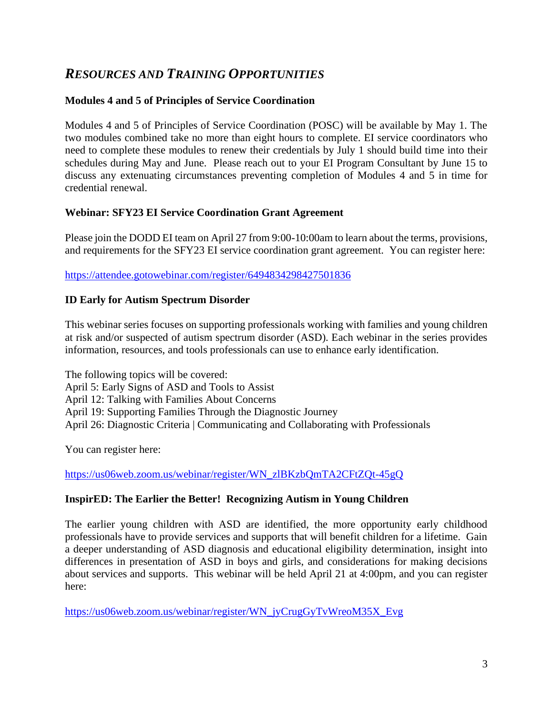# *RESOURCES AND TRAINING OPPORTUNITIES*

## **Modules 4 and 5 of Principles of Service Coordination**

Modules 4 and 5 of Principles of Service Coordination (POSC) will be available by May 1. The two modules combined take no more than eight hours to complete. EI service coordinators who need to complete these modules to renew their credentials by July 1 should build time into their schedules during May and June. Please reach out to your EI Program Consultant by June 15 to discuss any extenuating circumstances preventing completion of Modules 4 and 5 in time for credential renewal.

## **Webinar: SFY23 EI Service Coordination Grant Agreement**

Please join the DODD EI team on April 27 from 9:00-10:00am to learn about the terms, provisions, and requirements for the SFY23 EI service coordination grant agreement. You can register here:

<https://attendee.gotowebinar.com/register/6494834298427501836>

## **ID Early for Autism Spectrum Disorder**

This webinar series focuses on supporting professionals working with families and young children at risk and/or suspected of autism spectrum disorder (ASD). Each webinar in the series provides information, resources, and tools professionals can use to enhance early identification.

The following topics will be covered: April 5: Early Signs of ASD and Tools to Assist April 12: Talking with Families About Concerns April 19: Supporting Families Through the Diagnostic Journey April 26: Diagnostic Criteria | Communicating and Collaborating with Professionals

You can register here:

[https://us06web.zoom.us/webinar/register/WN\\_zlBKzbQmTA2CFtZQt-45gQ](https://us06web.zoom.us/webinar/register/WN_zlBKzbQmTA2CFtZQt-45gQ)

## **InspirED: The Earlier the Better! Recognizing Autism in Young Children**

The earlier young children with ASD are identified, the more opportunity early childhood professionals have to provide services and supports that will benefit children for a lifetime. Gain a deeper understanding of ASD diagnosis and educational eligibility determination, insight into differences in presentation of ASD in boys and girls, and considerations for making decisions about services and supports. This webinar will be held April 21 at 4:00pm, and you can register here:

[https://us06web.zoom.us/webinar/register/WN\\_jyCrugGyTvWreoM35X\\_Evg](https://us06web.zoom.us/webinar/register/WN_jyCrugGyTvWreoM35X_Evg)